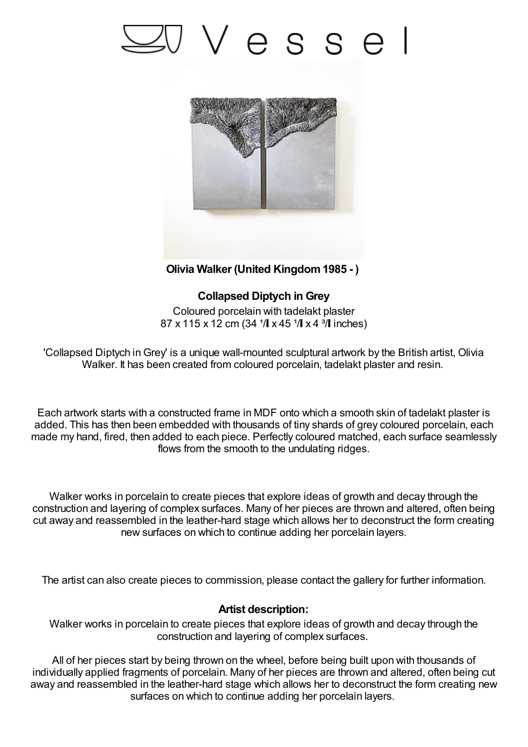## Vesse



**Olivia Walker (United Kingdom1985 - )**

**Collapsed Diptych in Grey** Coloured porcelain with tadelakt plaster  $87 \times 115 \times 12$  cm (34  $\frac{1}{1} \times 45$   $\frac{1}{1} \times 4$   $\frac{3}{1}$  inches)

'Collapsed Diptych inGrey' is a unique wall-mounted sculptural artwork by the British artist, Olivia Walker. It has been created from coloured porcelain, tadelakt plaster and resin.

Each artwork starts with a constructed frame in MDF onto which a smooth skin of tadelakt plaster is added. This has then been embedded with thousands of tiny shards of grey coloured porcelain, each made my hand, fired, then added to each piece. Perfectly coloured matched, each surface seamlessly flows from the smooth to the undulating ridges.

Walker works in porcelain to create pieces that explore ideas of growth and decay through the construction and layering of complex surfaces. Many of her pieces are thrown and altered, often being cut away and reassembled in the leather-hard stage which allows her to deconstruct the form creating new surfaces on which to continue adding her porcelain layers.

The artist can also create pieces to commission, please contact the gallery for further information.

## **Artist description:**

Walker works in porcelain to create pieces that explore ideas of growth and decay through the construction and layering of complex surfaces.

All of her pieces start by being thrown on the wheel, before being built upon with thousands of individually applied fragments of porcelain. Many of her pieces are thrown and altered, often being cut away and reassembled in the leather-hard stage which allows her to deconstruct the form creating new surfaces on which to continue adding her porcelain layers.